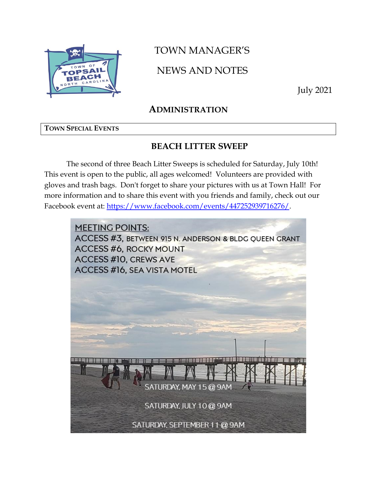

# TOWN MANAGER'S

NEWS AND NOTES

July 2021

### **ADMINISTRATION**

### **TOWN SPECIAL EVENTS**

### **BEACH LITTER SWEEP**

The second of three Beach Litter Sweeps is scheduled for Saturday, July 10th! This event is open to the public, all ages welcomed! Volunteers are provided with gloves and trash bags. Don't forget to share your pictures with us at Town Hall! For more information and to share this event with you friends and family, check out our Facebook event at: [https://www.facebook.com/events/447252939716276/.](https://www.facebook.com/events/447252939716276/)

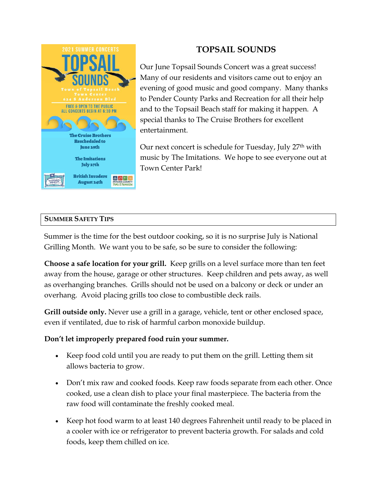

## **TOPSAIL SOUNDS**

Our June Topsail Sounds Concert was a great success! Many of our residents and visitors came out to enjoy an evening of good music and good company. Many thanks to Pender County Parks and Recreation for all their help and to the Topsail Beach staff for making it happen. A special thanks to The Cruise Brothers for excellent entertainment.

Our next concert is schedule for Tuesday, July 27<sup>th</sup> with music by The Imitations. We hope to see everyone out at Town Center Park!

### **SUMMER SAFETY TIPS**

Summer is the time for the best outdoor cooking, so it is no surprise July is National Grilling Month. We want you to be safe, so be sure to consider the following:

**Choose a safe location for your grill.** Keep grills on a level surface more than ten feet away from the house, garage or other structures. Keep children and pets away, as well as overhanging branches. Grills should not be used on a balcony or deck or under an overhang. Avoid placing grills too close to combustible deck rails.

**Grill outside only.** Never use a grill in a garage, vehicle, tent or other enclosed space, even if ventilated, due to risk of harmful carbon monoxide buildup.

### **Don't let improperly prepared food ruin your summer.**

- Keep food cold until you are ready to put them on the grill. Letting them sit allows bacteria to grow.
- Don't mix raw and cooked foods. Keep raw foods separate from each other. Once cooked, use a clean dish to place your final masterpiece. The bacteria from the raw food will contaminate the freshly cooked meal.
- Keep hot food warm to at least 140 degrees Fahrenheit until ready to be placed in a cooler with ice or refrigerator to prevent bacteria growth. For salads and cold foods, keep them chilled on ice.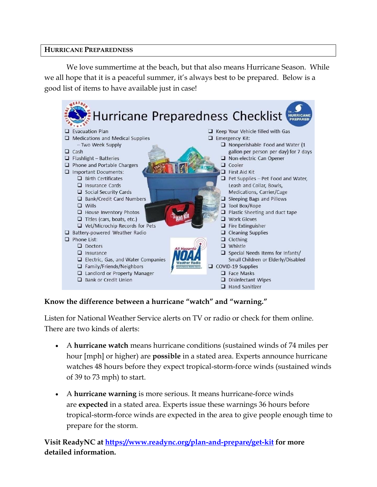### **HURRICANE PREPAREDNESS**

We love summertime at the beach, but that also means Hurricane Season. While we all hope that it is a peaceful summer, it's always best to be prepared. Below is a good list of items to have available just in case!



### **Know the difference between a hurricane "watch" and "warning."**

Listen for National Weather Service alerts on TV or radio or check for them online. There are two kinds of alerts:

- A **hurricane watch** means hurricane conditions (sustained winds of 74 miles per hour [mph] or higher) are **possible** in a stated area. Experts announce hurricane watches 48 hours before they expect tropical-storm-force winds (sustained winds of 39 to 73 mph) to start.
- A **hurricane warning** is more serious. It means hurricane-force winds are **expected** in a stated area. Experts issue these warnings 36 hours before tropical-storm-force winds are expected in the area to give people enough time to prepare for the storm.

**Visit ReadyNC at<https://www.readync.org/plan-and-prepare/get-kit> for more detailed information.**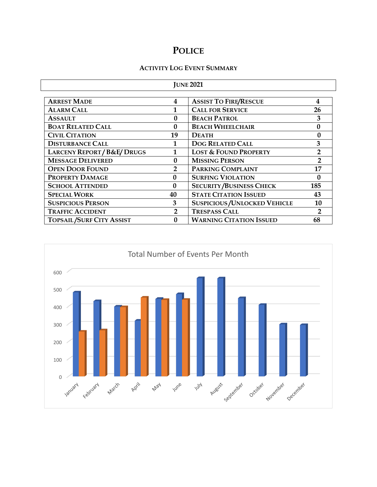### **POLICE**

#### **ACTIVITY LOG EVENT SUMMARY**

| <b>JUNE 2021</b>                    |                |                                    |                  |  |  |
|-------------------------------------|----------------|------------------------------------|------------------|--|--|
|                                     |                |                                    |                  |  |  |
| <b>ARREST MADE</b>                  | 4              | <b>ASSIST TO FIRE/RESCUE</b>       | 4                |  |  |
| <b>ALARM CALL</b>                   |                | <b>CALL FOR SERVICE</b>            | 26               |  |  |
| <b>ASSAULT</b>                      | 0              | <b>BEACH PATROL</b>                | 3                |  |  |
| <b>BOAT RELATED CALL</b>            | $\mathbf{0}$   | <b>BEACH WHEELCHAIR</b>            | $\boldsymbol{0}$ |  |  |
| <b>CIVIL CITATION</b>               | 19             | <b>DEATH</b>                       | 0                |  |  |
| <b>DISTURBANCE CALL</b>             |                | <b>DOG RELATED CALL</b>            | 3                |  |  |
| <b>LARCENY REPORT/B&amp;E/DRUGS</b> |                | <b>LOST &amp; FOUND PROPERTY</b>   | $\overline{2}$   |  |  |
| <b>MESSAGE DELIVERED</b>            | $\mathbf{0}$   | <b>MISSING PERSON</b>              | 2                |  |  |
| <b>OPEN DOOR FOUND</b>              | $\overline{2}$ | PARKING COMPLAINT<br>17            |                  |  |  |
| PROPERTY DAMAGE                     | $\mathbf{0}$   | <b>SURFING VIOLATION</b>           | $\mathbf{0}$     |  |  |
| <b>SCHOOL ATTENDED</b>              | $\mathbf{0}$   | <b>SECURITY/BUSINESS CHECK</b>     | 185              |  |  |
| <b>SPECIAL WORK</b>                 | 40             | <b>STATE CITATION ISSUED</b>       | 43               |  |  |
| <b>SUSPICIOUS PERSON</b>            | 3              | <b>SUSPICIOUS/UNLOCKED VEHICLE</b> | 10               |  |  |
| <b>TRAFFIC ACCIDENT</b>             | $\overline{2}$ | <b>TRESPASS CALL</b>               | $\mathbf{2}$     |  |  |
| <b>TOPSAIL/SURF CITY ASSIST</b>     | 0              | <b>WARNING CITATION ISSUED</b>     | 68               |  |  |

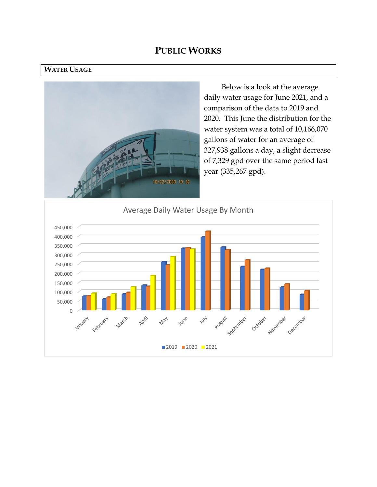### **PUBLIC WORKS**

#### **WATER USAGE**



Below is a look at the average daily water usage for June 2021, and a comparison of the data to 2019 and 2020. This June the distribution for the water system was a total of 10,166,070 gallons of water for an average of 327,938 gallons a day, a slight decrease of 7,329 gpd over the same period last year (335,267 gpd).

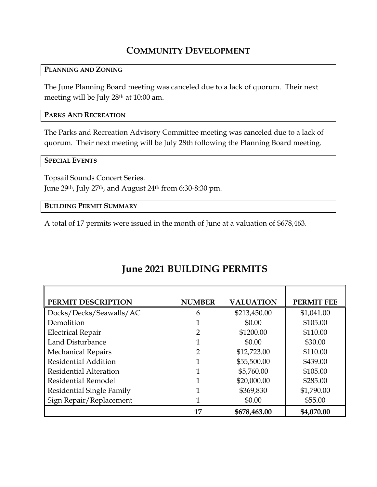# **COMMUNITY DEVELOPMENT**

#### **PLANNING AND ZONING**

The June Planning Board meeting was canceled due to a lack of quorum. Their next meeting will be July 28th at 10:00 am.

### **PARKS AND RECREATION**

The Parks and Recreation Advisory Committee meeting was canceled due to a lack of quorum. Their next meeting will be July 28th following the Planning Board meeting.

#### **SPECIAL EVENTS**

Topsail Sounds Concert Series.

June 29th, July 27th, and August 24th from 6:30-8:30 pm.

**BUILDING PERMIT SUMMARY**

A total of 17 permits were issued in the month of June at a valuation of \$678,463.

| PERMIT DESCRIPTION               | <b>NUMBER</b> | <b>VALUATION</b> | <b>PERMIT FEE</b> |
|----------------------------------|---------------|------------------|-------------------|
| Docks/Decks/Seawalls/AC          | 6             | \$213,450.00     | \$1,041.00        |
| Demolition                       |               | \$0.00           | \$105.00          |
| <b>Electrical Repair</b>         | 2             | \$1200.00        | \$110.00          |
| Land Disturbance                 |               | \$0.00           | \$30.00           |
| <b>Mechanical Repairs</b>        | 2             | \$12,723.00      | \$110.00          |
| <b>Residential Addition</b>      |               | \$55,500.00      | \$439.00          |
| <b>Residential Alteration</b>    |               | \$5,760.00       | \$105.00          |
| <b>Residential Remodel</b>       |               | \$20,000.00      | \$285.00          |
| <b>Residential Single Family</b> |               | \$369,830        | \$1,790.00        |
| Sign Repair/Replacement          |               | \$0.00           | \$55.00           |
|                                  | 17            | \$678,463.00     | \$4,070.00        |

# **June 2021 BUILDING PERMITS**